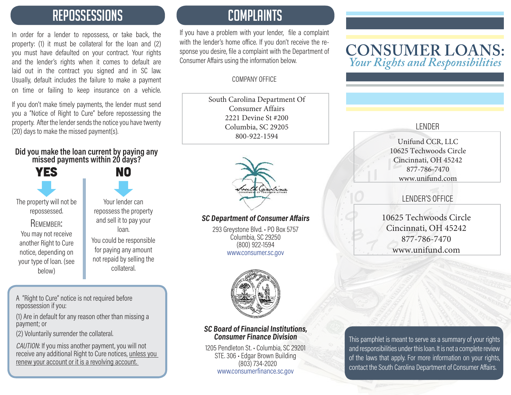### REPOSSESSIONS COMPLAINTS

In order for a lender to repossess, or take back, the property: (1) it must be collateral for the loan and (2) you must have defaulted on your contract. Your rights and the lender's rights when it comes to default are laid out in the contract you signed and in SC law. Usually, default includes the failure to make a payment on time or failing to keep insurance on a vehicle.

If you don't make timely payments, the lender must send you a "Notice of Right to Cure" before repossessing the property. After the lender sends the notice you have twenty (20) days to make the missed payment(s).

#### **Did you make the loan current by paying any missed payments within 20 days?**

| The property will not be<br>repossessed.<br>REMEMBER:<br>You may not receive<br>another Right to Cure<br>notice, depending on<br>your type of loan. (see<br>below) | Yι<br>repos<br>and<br>You co<br>for pa<br>not re |
|--------------------------------------------------------------------------------------------------------------------------------------------------------------------|--------------------------------------------------|

our lender can ssess the property sell it to pay your loan. ould be responsible aying any amount paid by selling the collateral.

**NO** 

A "Right to Cure" notice is not required before repossession if you:

(1) Are in default for any reason other than missing a payment; or

(2) Voluntarily surrender the collateral.

CAUTION: If you miss another payment, you will not receive any additional Right to Cure notices, unless you renew your account or it is a revolving account.

If you have a problem with your lender, file a complaint with the lender's home office. If you don't receive the response you desire, file a complaint with the Department of Consumer Affairs using the information below.

#### COMPANY OFFICE

South Carolina Department Of Consumer Affairs 2221 Devine St #200 Columbia, SC 29205 800-922-1594



#### **SC Department of Consumer Affairs**

293 Greystone Blvd. • PO Box 5757 Columbia, SC 29250 (800) 922-1594 www.consumer.sc.gov



#### **SC Board of Financial Institutions, Consumer Finance Division**

1205 Pendleton St. • Columbia, SC 29201 STE. 306 • Edgar Brown Building (803) 734-2020 www.consumerfinance.sc.gov

#### **CONSUMER LOANS:** *Your Rights and Responsibilities*

#### LENDER

Unifund CCR, LLC 10625 Techwoods Circle Cincinnati, OH 45242 877-786-7470 www.unifund.com

#### LENDER'S OFFICE

10625 Techwoods Circle Cincinnati, OH 45242 877-786-7470 www.unifund.com

This pamphlet is meant to serve as a summary of your rights and responsibilities under this loan. It is not a complete review of the laws that apply. For more information on your rights, contact the South Carolina Department of Consumer Affairs.